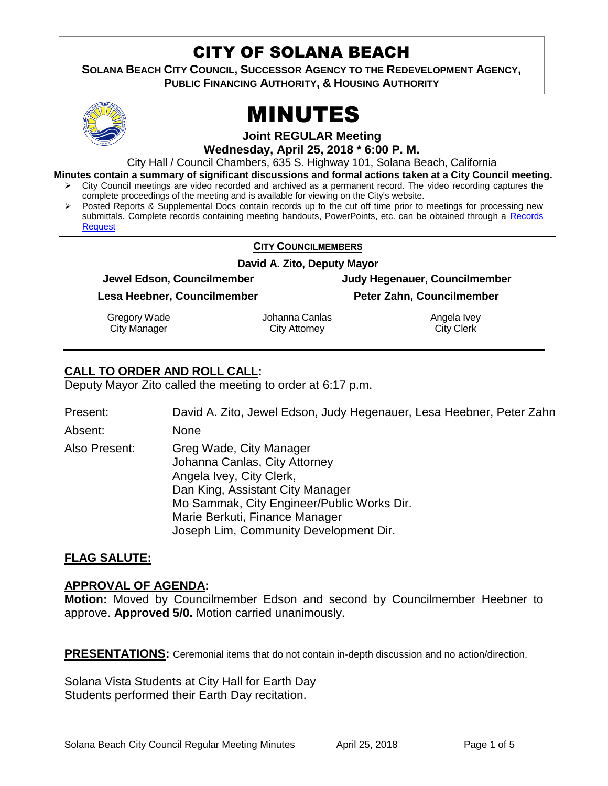# CITY OF SOLANA BEACH

**SOLANA BEACH CITY COUNCIL, SUCCESSOR AGENCY TO THE REDEVELOPMENT AGENCY, PUBLIC FINANCING AUTHORITY, & HOUSING AUTHORITY** 



# MINUTES

**Joint REGULAR Meeting**

**Wednesday, April 25, 2018 \* 6:00 P. M.**

City Hall / Council Chambers, 635 S. Highway 101, Solana Beach, California

**Minutes contain a summary of significant discussions and formal actions taken at a City Council meeting.**

- City Council meetings are video recorded and archived as a permanent record. The video recording captures the complete proceedings of the meeting and is available for viewing on the City's website.
- Posted Reports & Supplemental Docs contain records up to the cut off time prior to meetings for processing new submittals. Complete records containing meeting handouts, PowerPoints, etc. can be obtained through a [Records](http://www.ci.solana-beach.ca.us/index.asp?SEC=F5D45D10-70CE-4291-A27C-7BD633FC6742&Type=B_BASIC)  [Request](http://www.ci.solana-beach.ca.us/index.asp?SEC=F5D45D10-70CE-4291-A27C-7BD633FC6742&Type=B_BASIC)

| <b>CITY COUNCILMEMBERS</b>          |                                        |                                  |
|-------------------------------------|----------------------------------------|----------------------------------|
| David A. Zito, Deputy Mayor         |                                        |                                  |
| Jewel Edson, Councilmember          |                                        | Judy Hegenauer, Councilmember    |
| Lesa Heebner, Councilmember         |                                        | Peter Zahn, Councilmember        |
| Gregory Wade<br><b>City Manager</b> | Johanna Canlas<br><b>City Attorney</b> | Angela Ivey<br><b>City Clerk</b> |

# **CALL TO ORDER AND ROLL CALL:**

Deputy Mayor Zito called the meeting to order at 6:17 p.m.

Present: David A. Zito, Jewel Edson, Judy Hegenauer, Lesa Heebner, Peter Zahn

Absent: None

Also Present: Greg Wade, City Manager Johanna Canlas, City Attorney Angela Ivey, City Clerk, Dan King, Assistant City Manager Mo Sammak, City Engineer/Public Works Dir. Marie Berkuti, Finance Manager Joseph Lim, Community Development Dir.

### **FLAG SALUTE:**

#### **APPROVAL OF AGENDA:**

**Motion:** Moved by Councilmember Edson and second by Councilmember Heebner to approve. **Approved 5/0.** Motion carried unanimously.

**PRESENTATIONS:** Ceremonial items that do not contain in-depth discussion and no action/direction.

Solana Vista Students at City Hall for Earth Day Students performed their Earth Day recitation.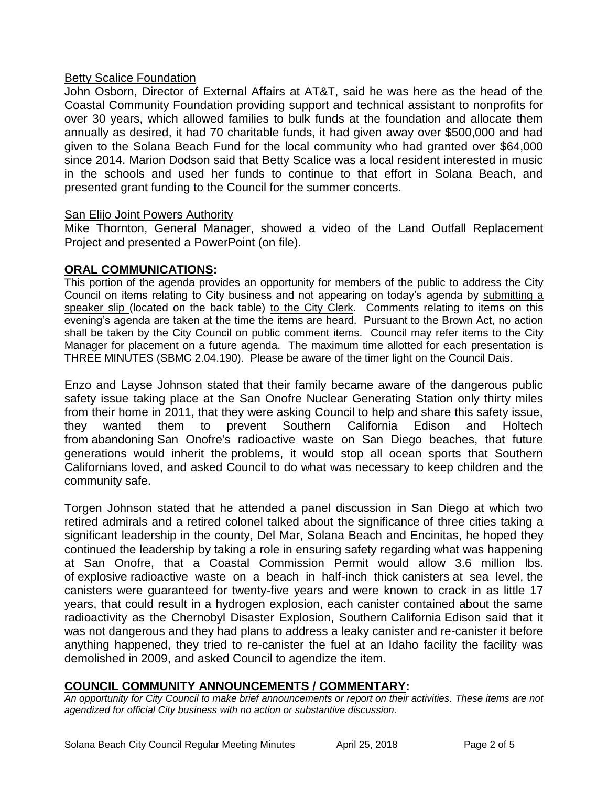#### Betty Scalice Foundation

John Osborn, Director of External Affairs at AT&T, said he was here as the head of the Coastal Community Foundation providing support and technical assistant to nonprofits for over 30 years, which allowed families to bulk funds at the foundation and allocate them annually as desired, it had 70 charitable funds, it had given away over \$500,000 and had given to the Solana Beach Fund for the local community who had granted over \$64,000 since 2014. Marion Dodson said that Betty Scalice was a local resident interested in music in the schools and used her funds to continue to that effort in Solana Beach, and presented grant funding to the Council for the summer concerts.

#### San Elijo Joint Powers Authority

Mike Thornton, General Manager, showed a video of the Land Outfall Replacement Project and presented a PowerPoint (on file).

#### **ORAL COMMUNICATIONS:**

This portion of the agenda provides an opportunity for members of the public to address the City Council on items relating to City business and not appearing on today's agenda by submitting a speaker slip (located on the back table) to the City Clerk. Comments relating to items on this evening's agenda are taken at the time the items are heard. Pursuant to the Brown Act, no action shall be taken by the City Council on public comment items. Council may refer items to the City Manager for placement on a future agenda. The maximum time allotted for each presentation is THREE MINUTES (SBMC 2.04.190). Please be aware of the timer light on the Council Dais.

Enzo and Layse Johnson stated that their family became aware of the dangerous public safety issue taking place at the San Onofre Nuclear Generating Station only thirty miles from their home in 2011, that they were asking Council to help and share this safety issue, they wanted them to prevent Southern California Edison and Holtech from abandoning San Onofre's radioactive waste on San Diego beaches, that future generations would inherit the problems, it would stop all ocean sports that Southern Californians loved, and asked Council to do what was necessary to keep children and the community safe.

Torgen Johnson stated that he attended a panel discussion in San Diego at which two retired admirals and a retired colonel talked about the significance of three cities taking a significant leadership in the county, Del Mar, Solana Beach and Encinitas, he hoped they continued the leadership by taking a role in ensuring safety regarding what was happening at San Onofre, that a Coastal Commission Permit would allow 3.6 million lbs. of explosive radioactive waste on a beach in half-inch thick canisters at sea level, the canisters were guaranteed for twenty-five years and were known to crack in as little 17 years, that could result in a hydrogen explosion, each canister contained about the same radioactivity as the Chernobyl Disaster Explosion, Southern California Edison said that it was not dangerous and they had plans to address a leaky canister and re-canister it before anything happened, they tried to re-canister the fuel at an Idaho facility the facility was demolished in 2009, and asked Council to agendize the item.

#### **COUNCIL COMMUNITY ANNOUNCEMENTS / COMMENTARY:**

*An opportunity for City Council to make brief announcements or report on their activities. These items are not agendized for official City business with no action or substantive discussion.*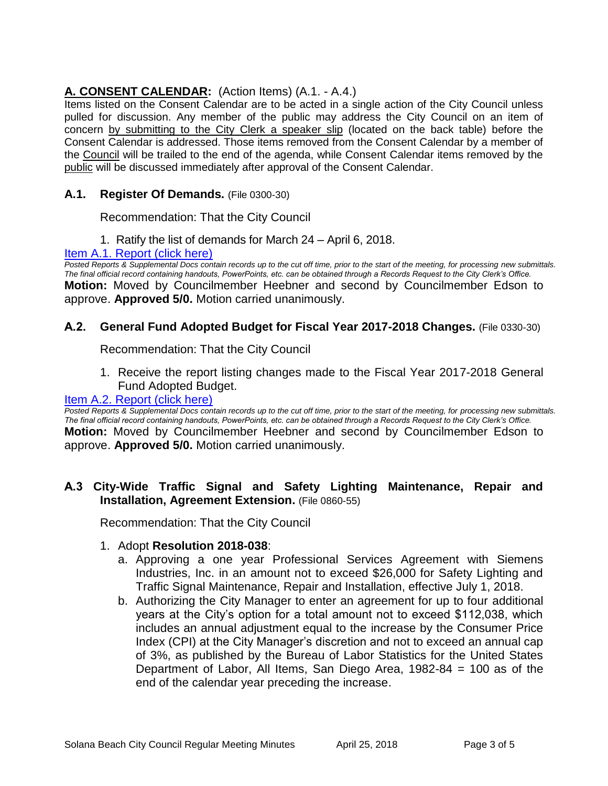## **A. CONSENT CALENDAR:** (Action Items) (A.1. - A.4.)

Items listed on the Consent Calendar are to be acted in a single action of the City Council unless pulled for discussion. Any member of the public may address the City Council on an item of concern by submitting to the City Clerk a speaker slip (located on the back table) before the Consent Calendar is addressed. Those items removed from the Consent Calendar by a member of the Council will be trailed to the end of the agenda, while Consent Calendar items removed by the public will be discussed immediately after approval of the Consent Calendar.

#### **A.1. Register Of Demands.** (File 0300-30)

Recommendation: That the City Council

1. Ratify the list of demands for March 24 – April 6, 2018.

#### [Item A.1. Report \(click here\)](https://solanabeach.govoffice3.com/vertical/Sites/%7B840804C2-F869-4904-9AE3-720581350CE7%7D/uploads/Item_A.1._Report_(click_here)_4-25-18.PDF)

*Posted Reports & Supplemental Docs contain records up to the cut off time, prior to the start of the meeting, for processing new submittals. The final official record containing handouts, PowerPoints, etc. can be obtained through a Records Request to the City Clerk's Office.* **Motion:** Moved by Councilmember Heebner and second by Councilmember Edson to approve. **Approved 5/0.** Motion carried unanimously.

#### **A.2. General Fund Adopted Budget for Fiscal Year 2017-2018 Changes.** (File 0330-30)

Recommendation: That the City Council

1. Receive the report listing changes made to the Fiscal Year 2017-2018 General Fund Adopted Budget.

#### [Item A.2. Report \(click here\)](https://solanabeach.govoffice3.com/vertical/Sites/%7B840804C2-F869-4904-9AE3-720581350CE7%7D/uploads/Item_A.2._Report_(click_here)_4-25-18.PDF)

**Posted Reports & Supplemental Docs contain records up to the cut off time, prior to the start of the meeting, for processing new submittals.** *The final official record containing handouts, PowerPoints, etc. can be obtained through a Records Request to the City Clerk's Office.*

**Motion:** Moved by Councilmember Heebner and second by Councilmember Edson to approve. **Approved 5/0.** Motion carried unanimously.

#### **A.3 City-Wide Traffic Signal and Safety Lighting Maintenance, Repair and Installation, Agreement Extension.** (File 0860-55)

Recommendation: That the City Council

#### 1. Adopt **Resolution 2018-038**:

- a. Approving a one year Professional Services Agreement with Siemens Industries, Inc. in an amount not to exceed \$26,000 for Safety Lighting and Traffic Signal Maintenance, Repair and Installation, effective July 1, 2018.
- b. Authorizing the City Manager to enter an agreement for up to four additional years at the City's option for a total amount not to exceed \$112,038, which includes an annual adjustment equal to the increase by the Consumer Price Index (CPI) at the City Manager's discretion and not to exceed an annual cap of 3%, as published by the Bureau of Labor Statistics for the United States Department of Labor, All Items, San Diego Area, 1982-84 = 100 as of the end of the calendar year preceding the increase.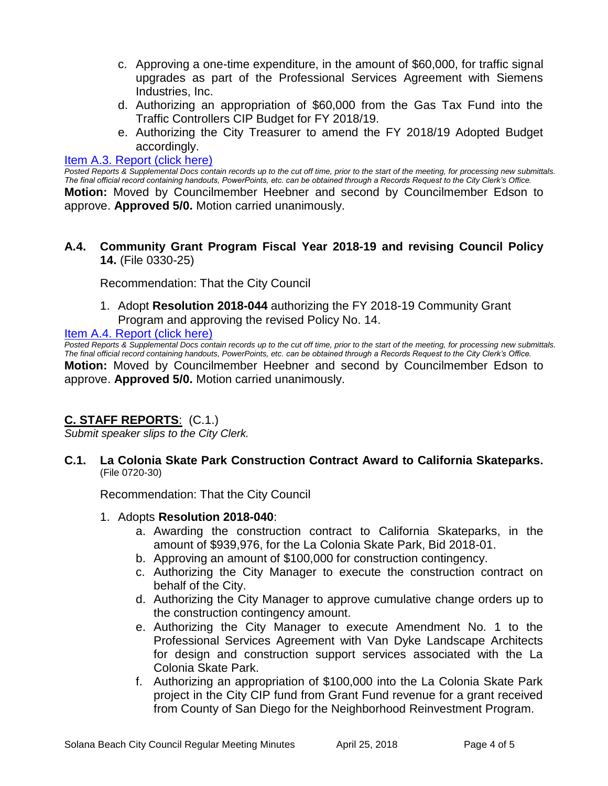- c. Approving a one-time expenditure, in the amount of \$60,000, for traffic signal upgrades as part of the Professional Services Agreement with Siemens Industries, Inc.
- d. Authorizing an appropriation of \$60,000 from the Gas Tax Fund into the Traffic Controllers CIP Budget for FY 2018/19.
- e. Authorizing the City Treasurer to amend the FY 2018/19 Adopted Budget accordingly.

#### [Item A.3. Report \(click here\)](https://solanabeach.govoffice3.com/vertical/Sites/%7B840804C2-F869-4904-9AE3-720581350CE7%7D/uploads/Item_A.3._Report_(click_here)_4-25-18.PDF)

*Posted Reports & Supplemental Docs contain records up to the cut off time, prior to the start of the meeting, for processing new submittals. The final official record containing handouts, PowerPoints, etc. can be obtained through a Records Request to the City Clerk's Office.* **Motion:** Moved by Councilmember Heebner and second by Councilmember Edson to approve. **Approved 5/0.** Motion carried unanimously.

#### **A.4. Community Grant Program Fiscal Year 2018-19 and revising Council Policy 14.** (File 0330-25)

Recommendation: That the City Council

1. Adopt **Resolution 2018-044** authorizing the FY 2018-19 Community Grant Program and approving the revised Policy No. 14.

#### [Item A.4. Report \(click here\)](https://solanabeach.govoffice3.com/vertical/Sites/%7B840804C2-F869-4904-9AE3-720581350CE7%7D/uploads/Item_A.4._Report_(click_here)_4-25-18.PDF)

*Posted Reports & Supplemental Docs contain records up to the cut off time, prior to the start of the meeting, for processing new submittals. The final official record containing handouts, PowerPoints, etc. can be obtained through a Records Request to the City Clerk's Office.*

**Motion:** Moved by Councilmember Heebner and second by Councilmember Edson to approve. **Approved 5/0.** Motion carried unanimously.

#### **C. STAFF REPORTS**: (C.1.)

*Submit speaker slips to the City Clerk.*

#### **C.1. La Colonia Skate Park Construction Contract Award to California Skateparks.** (File 0720-30)

Recommendation: That the City Council

- 1. Adopts **Resolution 2018-040**:
	- a. Awarding the construction contract to California Skateparks, in the amount of \$939,976, for the La Colonia Skate Park, Bid 2018-01.
	- b. Approving an amount of \$100,000 for construction contingency.
	- c. Authorizing the City Manager to execute the construction contract on behalf of the City.
	- d. Authorizing the City Manager to approve cumulative change orders up to the construction contingency amount.
	- e. Authorizing the City Manager to execute Amendment No. 1 to the Professional Services Agreement with Van Dyke Landscape Architects for design and construction support services associated with the La Colonia Skate Park.
	- f. Authorizing an appropriation of \$100,000 into the La Colonia Skate Park project in the City CIP fund from Grant Fund revenue for a grant received from County of San Diego for the Neighborhood Reinvestment Program.